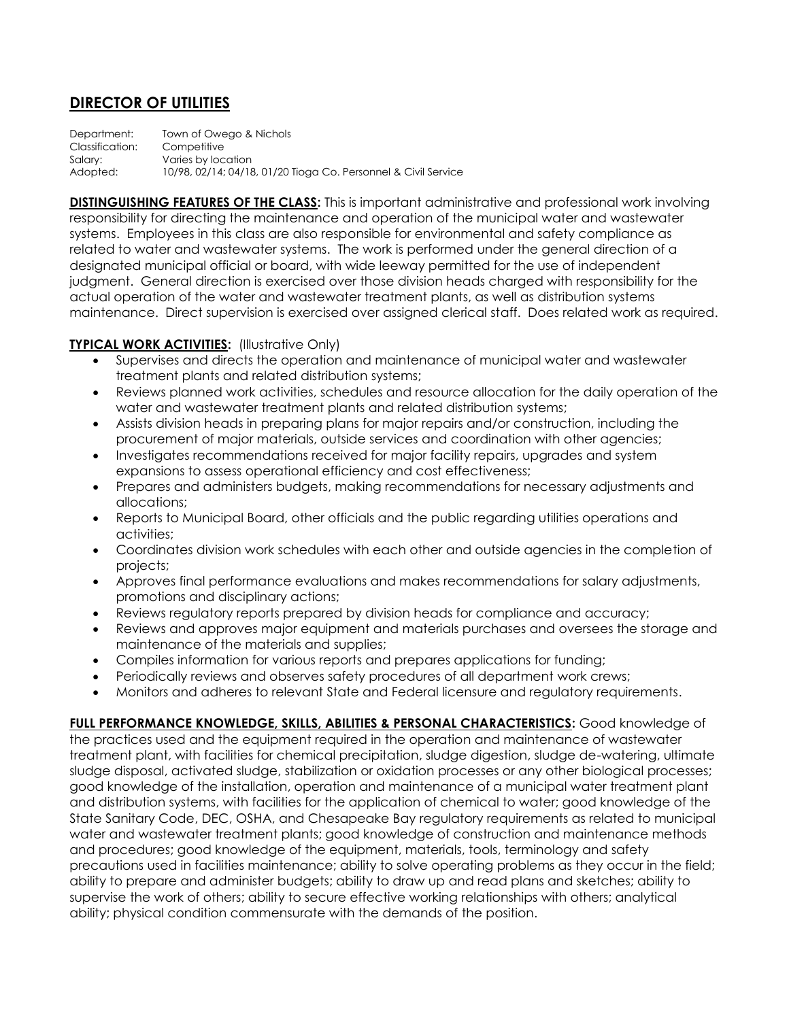## **DIRECTOR OF UTILITIES**

Department: Town of Owego & Nichols Classification: Competitive Salary: Varies by location Adopted: 10/98, 02/14; 04/18, 01/20 Tioga Co. Personnel & Civil Service

**DISTINGUISHING FEATURES OF THE CLASS:** This is important administrative and professional work involving responsibility for directing the maintenance and operation of the municipal water and wastewater systems. Employees in this class are also responsible for environmental and safety compliance as related to water and wastewater systems. The work is performed under the general direction of a designated municipal official or board, with wide leeway permitted for the use of independent judgment. General direction is exercised over those division heads charged with responsibility for the actual operation of the water and wastewater treatment plants, as well as distribution systems maintenance. Direct supervision is exercised over assigned clerical staff. Does related work as required.

## **TYPICAL WORK ACTIVITIES:** (Illustrative Only)

- Supervises and directs the operation and maintenance of municipal water and wastewater treatment plants and related distribution systems;
- Reviews planned work activities, schedules and resource allocation for the daily operation of the water and wastewater treatment plants and related distribution systems;
- Assists division heads in preparing plans for major repairs and/or construction, including the procurement of major materials, outside services and coordination with other agencies;
- Investigates recommendations received for major facility repairs, upgrades and system expansions to assess operational efficiency and cost effectiveness;
- Prepares and administers budgets, making recommendations for necessary adjustments and allocations;
- Reports to Municipal Board, other officials and the public regarding utilities operations and activities;
- Coordinates division work schedules with each other and outside agencies in the completion of projects;
- Approves final performance evaluations and makes recommendations for salary adjustments, promotions and disciplinary actions;
- Reviews regulatory reports prepared by division heads for compliance and accuracy;
- Reviews and approves major equipment and materials purchases and oversees the storage and maintenance of the materials and supplies;
- Compiles information for various reports and prepares applications for funding;
- Periodically reviews and observes safety procedures of all department work crews;
- Monitors and adheres to relevant State and Federal licensure and regulatory requirements.

**FULL PERFORMANCE KNOWLEDGE, SKILLS, ABILITIES & PERSONAL CHARACTERISTICS:** Good knowledge of the practices used and the equipment required in the operation and maintenance of wastewater treatment plant, with facilities for chemical precipitation, sludge digestion, sludge de-watering, ultimate sludge disposal, activated sludge, stabilization or oxidation processes or any other biological processes; good knowledge of the installation, operation and maintenance of a municipal water treatment plant and distribution systems, with facilities for the application of chemical to water; good knowledge of the State Sanitary Code, DEC, OSHA, and Chesapeake Bay regulatory requirements as related to municipal water and wastewater treatment plants; good knowledge of construction and maintenance methods and procedures; good knowledge of the equipment, materials, tools, terminology and safety precautions used in facilities maintenance; ability to solve operating problems as they occur in the field; ability to prepare and administer budgets; ability to draw up and read plans and sketches; ability to supervise the work of others; ability to secure effective working relationships with others; analytical ability; physical condition commensurate with the demands of the position.